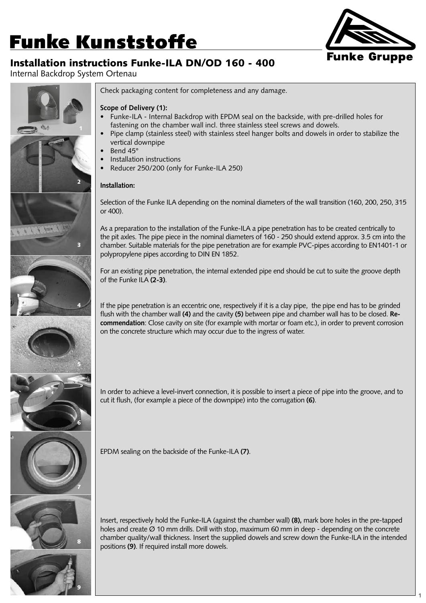# **Funke Kunststoffe**

### Installation instructions Funke-ILA DN/OD 160 - 400

Internal Backdrop System Ortenau



1







#### **Scope of Delivery (1):**

- Funke-ILA Internal Backdrop with EPDM seal on the backside, with pre-drilled holes for fastening on the chamber wall incl. three stainless steel screws and dowels.
- Pipe clamp (stainless steel) with stainless steel hanger bolts and dowels in order to stabilize the vertical downpipe
- Bend 45°
- Installation instructions
- Reducer 250/200 (only for Funke-ILA 250)

#### **Installation:**

Selection of the Funke ILA depending on the nominal diameters of the wall transition (160, 200, 250, 315 or 400).

As a preparation to the installation of the Funke-ILA a pipe penetration has to be created centrically to the pit axles. The pipe piece in the nominal diameters of 160 - 250 should extend approx. 3.5 cm into the chamber. Suitable materials for the pipe penetration are for example PVC-pipes according to EN1401-1 or polypropylene pipes according to DIN EN 1852.

For an existing pipe penetration, the internal extended pipe end should be cut to suite the groove depth of the Funke ILA **(2-3)**.

If the pipe penetration is an eccentric one, respectively if it is a clay pipe, the pipe end has to be grinded flush with the chamber wall **(4)** and the cavity **(5)** between pipe and chamber wall has to be closed. **Recommendation**: Close cavity on site (for example with mortar or foam etc.), in order to prevent corrosion on the concrete structure which may occur due to the ingress of water.

In order to achieve a level-invert connection, it is possible to insert a piece of pipe into the groove, and to cut it flush, (for example a piece of the downpipe) into the corrugation **(6)**.



9

EPDM sealing on the backside of the Funke-ILA **(7)**.

Insert, respectively hold the Funke-ILA (against the chamber wall) **(8),** mark bore holes in the pre-tapped holes and create Ø 10 mm drills. Drill with stop, maximum 60 mm in deep - depending on the concrete chamber quality/wall thickness. Insert the supplied dowels and screw down the Funke-ILA in the intended positions **(9)**. If required install more dowels.